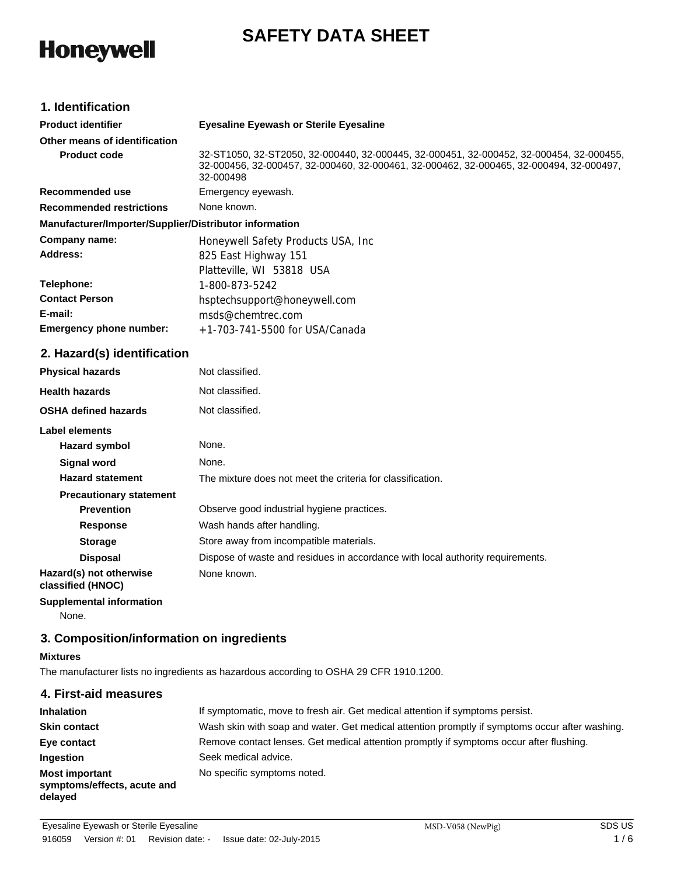## **SAFETY DATA SHEET**

# **Honeywell**

## **1. Identification**

| <b>Product identifier</b>                              | <b>Eyesaline Eyewash or Sterile Eyesaline</b>                                                                                                                                                   |  |  |
|--------------------------------------------------------|-------------------------------------------------------------------------------------------------------------------------------------------------------------------------------------------------|--|--|
| Other means of identification                          |                                                                                                                                                                                                 |  |  |
| <b>Product code</b>                                    | 32-ST1050, 32-ST2050, 32-000440, 32-000445, 32-000451, 32-000452, 32-000454, 32-000455,<br>32-000456, 32-000457, 32-000460, 32-000461, 32-000462, 32-000465, 32-000494, 32-000497,<br>32-000498 |  |  |
| Recommended use                                        | Emergency eyewash.                                                                                                                                                                              |  |  |
| <b>Recommended restrictions</b>                        | None known.                                                                                                                                                                                     |  |  |
| Manufacturer/Importer/Supplier/Distributor information |                                                                                                                                                                                                 |  |  |
| Company name:                                          | Honeywell Safety Products USA, Inc.                                                                                                                                                             |  |  |
| Address:                                               | 825 East Highway 151                                                                                                                                                                            |  |  |
|                                                        | Platteville, WI 53818 USA                                                                                                                                                                       |  |  |
| Telephone:                                             | 1-800-873-5242                                                                                                                                                                                  |  |  |
| <b>Contact Person</b>                                  | hsptechsupport@honeywell.com                                                                                                                                                                    |  |  |
| E-mail:                                                | msds@chemtrec.com                                                                                                                                                                               |  |  |
| <b>Emergency phone number:</b>                         | $+1-703-741-5500$ for USA/Canada                                                                                                                                                                |  |  |

## **2. Hazard(s) identification**

| <b>Physical hazards</b>                      | Not classified.                                                                |
|----------------------------------------------|--------------------------------------------------------------------------------|
| <b>Health hazards</b>                        | Not classified.                                                                |
| <b>OSHA defined hazards</b>                  | Not classified.                                                                |
| Label elements                               |                                                                                |
| Hazard symbol                                | None.                                                                          |
| Signal word                                  | None.                                                                          |
| <b>Hazard statement</b>                      | The mixture does not meet the criteria for classification.                     |
| <b>Precautionary statement</b>               |                                                                                |
| <b>Prevention</b>                            | Observe good industrial hygiene practices.                                     |
| <b>Response</b>                              | Wash hands after handling.                                                     |
| <b>Storage</b>                               | Store away from incompatible materials.                                        |
| <b>Disposal</b>                              | Dispose of waste and residues in accordance with local authority requirements. |
| Hazard(s) not otherwise<br>classified (HNOC) | None known.                                                                    |
| <b>Supplemental information</b>              |                                                                                |

None.

## **3. Composition/information on ingredients**

## **Mixtures**

The manufacturer lists no ingredients as hazardous according to OSHA 29 CFR 1910.1200.

| 4. First-aid measures                                           |                                                                                                |
|-----------------------------------------------------------------|------------------------------------------------------------------------------------------------|
| <b>Inhalation</b>                                               | If symptomatic, move to fresh air. Get medical attention if symptoms persist.                  |
| <b>Skin contact</b>                                             | Wash skin with soap and water. Get medical attention promptly if symptoms occur after washing. |
| Eye contact                                                     | Remove contact lenses. Get medical attention promptly if symptoms occur after flushing.        |
| Ingestion                                                       | Seek medical advice.                                                                           |
| <b>Most important</b><br>symptoms/effects, acute and<br>delayed | No specific symptoms noted.                                                                    |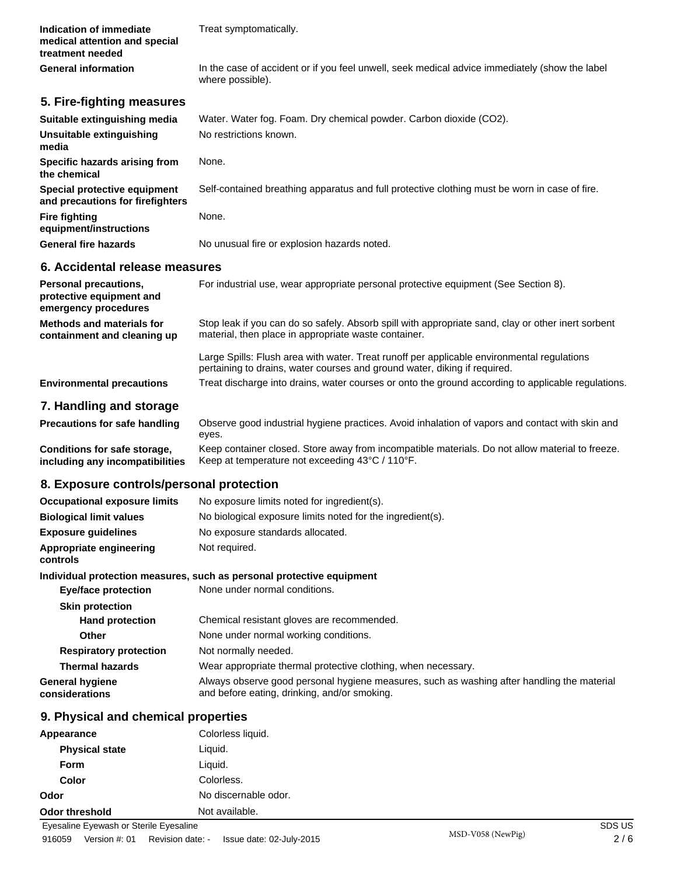| Indication of immediate<br>medical attention and special<br>treatment needed     | Treat symptomatically.                                                                                                                                                  |
|----------------------------------------------------------------------------------|-------------------------------------------------------------------------------------------------------------------------------------------------------------------------|
| <b>General information</b>                                                       | In the case of accident or if you feel unwell, seek medical advice immediately (show the label<br>where possible).                                                      |
| 5. Fire-fighting measures                                                        |                                                                                                                                                                         |
| Suitable extinguishing media                                                     | Water. Water fog. Foam. Dry chemical powder. Carbon dioxide (CO2).                                                                                                      |
| Unsuitable extinguishing<br>media                                                | No restrictions known.                                                                                                                                                  |
| <b>Specific hazards arising from</b><br>the chemical                             | None.                                                                                                                                                                   |
| <b>Special protective equipment</b><br>and precautions for firefighters          | Self-contained breathing apparatus and full protective clothing must be worn in case of fire.                                                                           |
| Fire fighting<br>equipment/instructions                                          | None.                                                                                                                                                                   |
| General fire hazards                                                             | No unusual fire or explosion hazards noted.                                                                                                                             |
| 6. Accidental release measures                                                   |                                                                                                                                                                         |
| <b>Personal precautions,</b><br>protective equipment and<br>emergency procedures | For industrial use, wear appropriate personal protective equipment (See Section 8).                                                                                     |
| <b>Methods and materials for</b><br>containment and cleaning up                  | Stop leak if you can do so safely. Absorb spill with appropriate sand, clay or other inert sorbent<br>material, then place in appropriate waste container.              |
|                                                                                  | Large Spills: Flush area with water. Treat runoff per applicable environmental regulations<br>pertaining to drains, water courses and ground water, diking if required. |
| <b>Environmental precautions</b>                                                 | Treat discharge into drains, water courses or onto the ground according to applicable regulations.                                                                      |
| 7. Handling and storage                                                          |                                                                                                                                                                         |
| <b>Precautions for safe handling</b>                                             | Observe good industrial hygiene practices. Avoid inhalation of vapors and contact with skin and<br>eyes.                                                                |
| Conditions for safe storage,<br>including any incompatibilities                  | Keep container closed. Store away from incompatible materials. Do not allow material to freeze.<br>Keep at temperature not exceeding 43°C / 110°F.                      |
| 8. Exposure controls/personal protection                                         |                                                                                                                                                                         |
|                                                                                  | <b>Occupational exposure limits</b> No exposure limits noted for ingredient(s).                                                                                         |
| <b>Biological limit values</b>                                                   | No biological exposure limits noted for the ingredient(s).                                                                                                              |
| <b>Exposure guidelines</b>                                                       | No exposure standards allocated.                                                                                                                                        |
| Appropriate engineering<br>controls                                              | Not required.                                                                                                                                                           |
|                                                                                  | Individual protection measures, such as personal protective equipment                                                                                                   |
| <b>Eye/face protection</b>                                                       | None under normal conditions.                                                                                                                                           |
| <b>Skin protection</b><br><b>Hand protection</b>                                 | Chemical resistant gloves are recommended.                                                                                                                              |
| Other                                                                            | None under normal working conditions.                                                                                                                                   |
| <b>Respiratory protection</b>                                                    | Not normally needed.                                                                                                                                                    |
| <b>Thermal hazards</b>                                                           | Wear appropriate thermal protective clothing, when necessary.                                                                                                           |
| General hygiene<br>considerations                                                | Always observe good personal hygiene measures, such as washing after handling the material<br>and before eating, drinking, and/or smoking.                              |
| 9. Physical and chemical properties                                              |                                                                                                                                                                         |
| Appearance                                                                       | Colorless liquid.                                                                                                                                                       |
| <b>Physical state</b>                                                            | Liquid.                                                                                                                                                                 |
| Form                                                                             | Liquid.                                                                                                                                                                 |
| Color                                                                            | Colorless.                                                                                                                                                              |

**Odor** No discernable odor. **Odor threshold** Not available.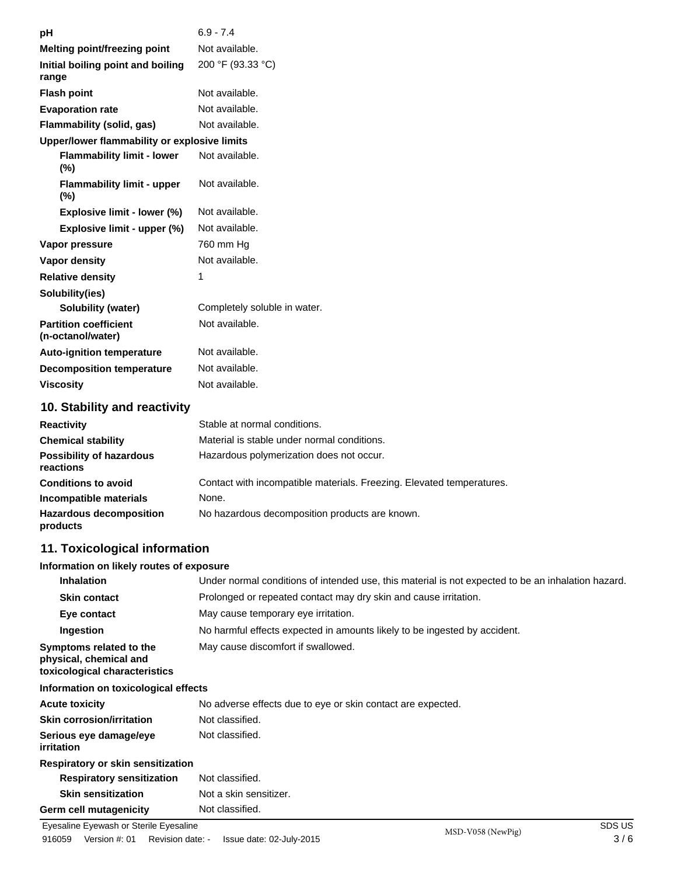| рH                                                | $6.9 - 7.4$                                 |
|---------------------------------------------------|---------------------------------------------|
| <b>Melting point/freezing point</b>               | Not available.                              |
| Initial boiling point and boiling<br>range        | 200 °F (93.33 °C)                           |
| <b>Flash point</b>                                | Not available.                              |
| <b>Evaporation rate</b>                           | Not available.                              |
| <b>Flammability (solid, gas)</b>                  | Not available.                              |
| Upper/lower flammability or explosive limits      |                                             |
| <b>Flammability limit - lower</b><br>(%)          | Not available.                              |
| <b>Flammability limit - upper</b><br>(%)          | Not available.                              |
| Explosive limit - lower (%)                       | Not available.                              |
| Explosive limit - upper (%)                       | Not available.                              |
| Vapor pressure                                    | 760 mm Hg                                   |
| Vapor density                                     | Not available.                              |
| <b>Relative density</b>                           | 1                                           |
| Solubility(ies)                                   |                                             |
| <b>Solubility (water)</b>                         | Completely soluble in water.                |
| <b>Partition coefficient</b><br>(n-octanol/water) | Not available.                              |
| <b>Auto-ignition temperature</b>                  | Not available.                              |
| <b>Decomposition temperature</b>                  | Not available.                              |
| <b>Viscosity</b>                                  | Not available.                              |
| 10. Stability and reactivity                      |                                             |
| <b>Reactivity</b>                                 | Stable at normal conditions.                |
| <b>Chemical stability</b>                         | Material is stable under normal conditions. |
| <b>Possibility of hazardous</b>                   | Hazardous polymerization does not occur.    |

| reactions                                  |                                                                       |
|--------------------------------------------|-----------------------------------------------------------------------|
| <b>Conditions to avoid</b>                 | Contact with incompatible materials. Freezing. Elevated temperatures. |
| Incompatible materials                     | None.                                                                 |
| <b>Hazardous decomposition</b><br>products | No hazardous decomposition products are known.                        |

## **11. Toxicological information**

## **Information on likely routes of exposure**

| <b>Inhalation</b>                                                                  | Under normal conditions of intended use, this material is not expected to be an inhalation hazard. |  |
|------------------------------------------------------------------------------------|----------------------------------------------------------------------------------------------------|--|
| <b>Skin contact</b>                                                                | Prolonged or repeated contact may dry skin and cause irritation.                                   |  |
| Eye contact                                                                        | May cause temporary eye irritation.                                                                |  |
| Ingestion                                                                          | No harmful effects expected in amounts likely to be ingested by accident.                          |  |
| Symptoms related to the<br>physical, chemical and<br>toxicological characteristics | May cause discomfort if swallowed.                                                                 |  |

## **Information on toxicological effects**

| <b>Acute toxicity</b>                    | No adverse effects due to eye or skin contact are expected. |
|------------------------------------------|-------------------------------------------------------------|
| <b>Skin corrosion/irritation</b>         | Not classified.                                             |
| Serious eye damage/eye<br>irritation     | Not classified.                                             |
| <b>Respiratory or skin sensitization</b> |                                                             |
| <b>Respiratory sensitization</b>         | Not classified.                                             |
| <b>Skin sensitization</b>                | Not a skin sensitizer.                                      |
| <b>Germ cell mutagenicity</b>            | Not classified.                                             |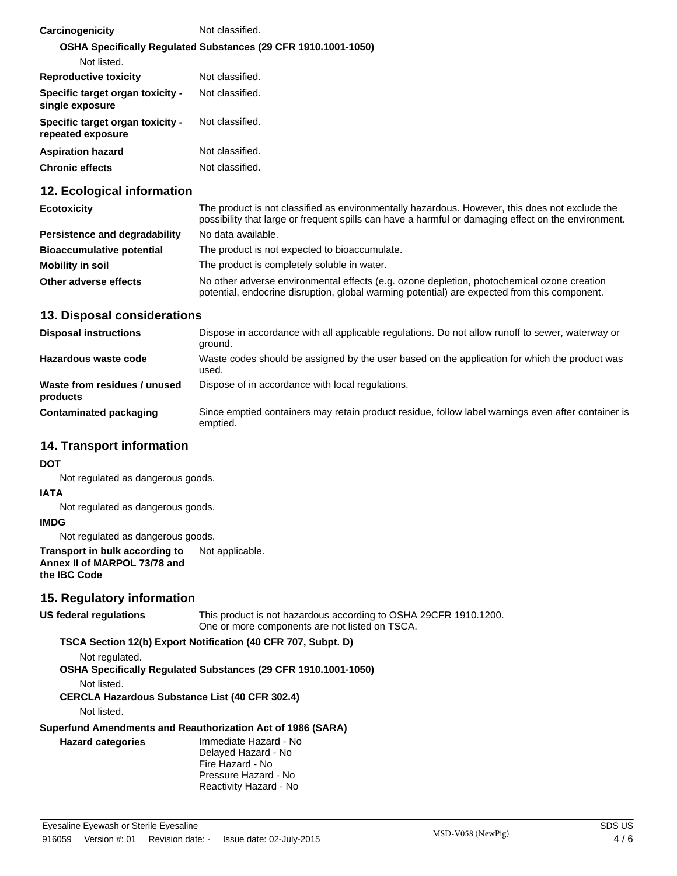| Carcinogenicity                                       | Not classified.                                                |
|-------------------------------------------------------|----------------------------------------------------------------|
|                                                       | OSHA Specifically Regulated Substances (29 CFR 1910.1001-1050) |
| Not listed.                                           |                                                                |
| <b>Reproductive toxicity</b>                          | Not classified.                                                |
| Specific target organ toxicity -<br>single exposure   | Not classified.                                                |
| Specific target organ toxicity -<br>repeated exposure | Not classified.                                                |
| <b>Aspiration hazard</b>                              | Not classified.                                                |
| <b>Chronic effects</b>                                | Not classified.                                                |

## **12. Ecological information**

| <b>Ecotoxicity</b>               | The product is not classified as environmentally hazardous. However, this does not exclude the<br>possibility that large or frequent spills can have a harmful or damaging effect on the environment. |  |
|----------------------------------|-------------------------------------------------------------------------------------------------------------------------------------------------------------------------------------------------------|--|
| Persistence and degradability    | No data available.                                                                                                                                                                                    |  |
| <b>Bioaccumulative potential</b> | The product is not expected to bioaccumulate.                                                                                                                                                         |  |
| Mobility in soil                 | The product is completely soluble in water.                                                                                                                                                           |  |
| Other adverse effects            | No other adverse environmental effects (e.g. ozone depletion, photochemical ozone creation<br>potential, endocrine disruption, global warming potential) are expected from this component.            |  |

#### **13. Disposal considerations**

| <b>Disposal instructions</b>             | Dispose in accordance with all applicable regulations. Do not allow runoff to sewer, waterway or<br>ground.    |  |
|------------------------------------------|----------------------------------------------------------------------------------------------------------------|--|
| Hazardous waste code                     | Waste codes should be assigned by the user based on the application for which the product was<br>used.         |  |
| Waste from residues / unused<br>products | Dispose of in accordance with local regulations.                                                               |  |
| <b>Contaminated packaging</b>            | Since emptied containers may retain product residue, follow label warnings even after container is<br>emptied. |  |

## **14. Transport information**

#### **DOT**

Not regulated as dangerous goods.

#### **IATA**

Not regulated as dangerous goods.

#### **IMDG**

Not regulated as dangerous goods.

#### **Transport in bulk according to** Not applicable. **Annex II of MARPOL 73/78 and the IBC Code**

## **15. Regulatory information**

This product is not hazardous according to OSHA 29CFR 1910.1200. One or more components are not listed on TSCA. **US federal regulations**

## **TSCA Section 12(b) Export Notification (40 CFR 707, Subpt. D)**

Not regulated.

**OSHA Specifically Regulated Substances (29 CFR 1910.1001-1050)**

Not listed.

**CERCLA Hazardous Substance List (40 CFR 302.4)**

Not listed.

**Hazard categories**

#### **Superfund Amendments and Reauthorization Act of 1986 (SARA)**

Immediate Hazard - No Delayed Hazard - No Fire Hazard - No Pressure Hazard - No Reactivity Hazard - No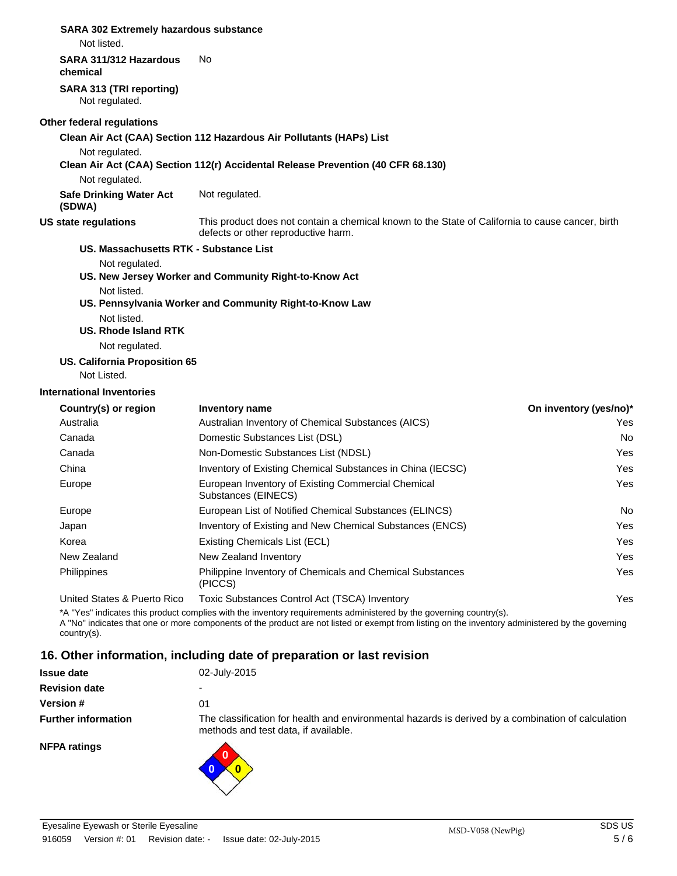## **SARA 302 Extremely hazardous substance**

Not listed.

#### **SARA 311/312 Hazardous** No

**chemical**

**SARA 313 (TRI reporting)** Not regulated.

#### **Other federal regulations**

**Clean Air Act (CAA) Section 112 Hazardous Air Pollutants (HAPs) List**

Not regulated.

**Clean Air Act (CAA) Section 112(r) Accidental Release Prevention (40 CFR 68.130)**

Not regulated.

**Safe Drinking Water Act** Not regulated. **(SDWA)**

#### **US state regulations**

This product does not contain a chemical known to the State of California to cause cancer, birth defects or other reproductive harm.

## **US. Massachusetts RTK - Substance List**

Not regulated.

- **US. New Jersey Worker and Community Right-to-Know Act**
	- Not listed.

#### **US. Pennsylvania Worker and Community Right-to-Know Law**

Not listed.

**US. Rhode Island RTK**

Not regulated.

## **US. California Proposition 65**

Not Listed.

#### **International Inventories**

| Country(s) or region        | Inventory name                                                              | On inventory (yes/no)* |
|-----------------------------|-----------------------------------------------------------------------------|------------------------|
| Australia                   | Australian Inventory of Chemical Substances (AICS)                          | Yes.                   |
| Canada                      | Domestic Substances List (DSL)                                              | No.                    |
| Canada                      | Non-Domestic Substances List (NDSL)                                         | Yes                    |
| China                       | Inventory of Existing Chemical Substances in China (IECSC)                  | Yes                    |
| Europe                      | European Inventory of Existing Commercial Chemical<br>Substances (EINECS)   | Yes                    |
| Europe                      | European List of Notified Chemical Substances (ELINCS)                      | No.                    |
| Japan                       | Inventory of Existing and New Chemical Substances (ENCS)                    | Yes                    |
| Korea                       | Existing Chemicals List (ECL)                                               | Yes                    |
| New Zealand                 | New Zealand Inventory                                                       | Yes                    |
| <b>Philippines</b>          | <b>Philippine Inventory of Chemicals and Chemical Substances</b><br>(PICCS) | Yes                    |
| United States & Puerto Rico | Toxic Substances Control Act (TSCA) Inventory                               | Yes                    |

\*A "Yes" indicates this product complies with the inventory requirements administered by the governing country(s).

A "No" indicates that one or more components of the product are not listed or exempt from listing on the inventory administered by the governing country(s).

## **16. Other information, including date of preparation or last revision**

| <b>Issue date</b>          | 02-July-2015                                                                                                                               |
|----------------------------|--------------------------------------------------------------------------------------------------------------------------------------------|
| <b>Revision date</b>       |                                                                                                                                            |
| <b>Version #</b>           | 01                                                                                                                                         |
| <b>Further information</b> | The classification for health and environmental hazards is derived by a combination of calculation<br>methods and test data, if available. |
| <b>NFPA ratings</b>        |                                                                                                                                            |